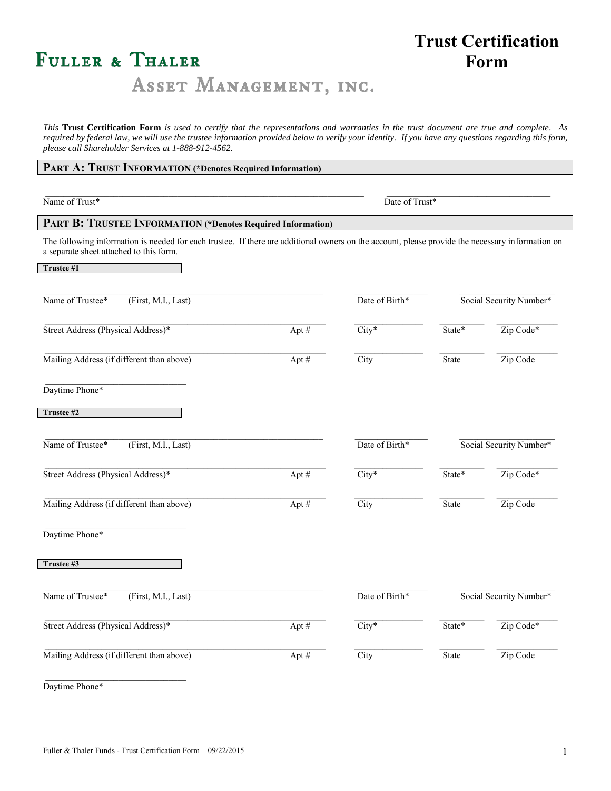# FULLER & THALER

## **Trust Certification Form**

## ASSET MANAGEMENT, INC.

*This* **Trust Certification Form** *is used to certify that the representations and warranties in the trust document are true and complete. As required by federal law, we will use the trustee information provided below to verify your identity. If you have any questions regarding this form, please call Shareholder Services at 1-888-912-4562.*

| PART A: TRUST INFORMATION (*Denotes Required Information)                                                                                                                                   |       |                |                         |                         |  |  |
|---------------------------------------------------------------------------------------------------------------------------------------------------------------------------------------------|-------|----------------|-------------------------|-------------------------|--|--|
| Name of Trust*                                                                                                                                                                              |       | Date of Trust* |                         |                         |  |  |
| PART B: TRUSTEE INFORMATION (*Denotes Required Information)                                                                                                                                 |       |                |                         |                         |  |  |
| The following information is needed for each trustee. If there are additional owners on the account, please provide the necessary information on<br>a separate sheet attached to this form. |       |                |                         |                         |  |  |
| Trustee #1                                                                                                                                                                                  |       |                |                         |                         |  |  |
| Name of Trustee*<br>(First, M.I., Last)                                                                                                                                                     |       | Date of Birth* |                         | Social Security Number* |  |  |
| Street Address (Physical Address)*                                                                                                                                                          | Apt # | $City*$        | State*                  | Zip Code*               |  |  |
| Mailing Address (if different than above)                                                                                                                                                   | Apt#  | City           | State                   | Zip Code                |  |  |
| Daytime Phone*                                                                                                                                                                              |       |                |                         |                         |  |  |
| Trustee #2                                                                                                                                                                                  |       |                |                         |                         |  |  |
| Name of Trustee*<br>(First, M.I., Last)                                                                                                                                                     |       | Date of Birth* | Social Security Number* |                         |  |  |
| Street Address (Physical Address)*                                                                                                                                                          | Apt # | $City*$        | State*                  | Zip Code*               |  |  |
| Mailing Address (if different than above)                                                                                                                                                   | Apt # | City           | State                   | Zip Code                |  |  |
| Daytime Phone*                                                                                                                                                                              |       |                |                         |                         |  |  |
| Trustee #3                                                                                                                                                                                  |       |                |                         |                         |  |  |
| Name of Trustee*<br>(First, M.I., Last)                                                                                                                                                     |       | Date of Birth* | Social Security Number* |                         |  |  |
| Street Address (Physical Address)*                                                                                                                                                          | Apt # | $City*$        | State*                  | Zip Code*               |  |  |
| Mailing Address (if different than above)                                                                                                                                                   | Apt # | City           | State                   | Zip Code                |  |  |
| Daytime Phone*                                                                                                                                                                              |       |                |                         |                         |  |  |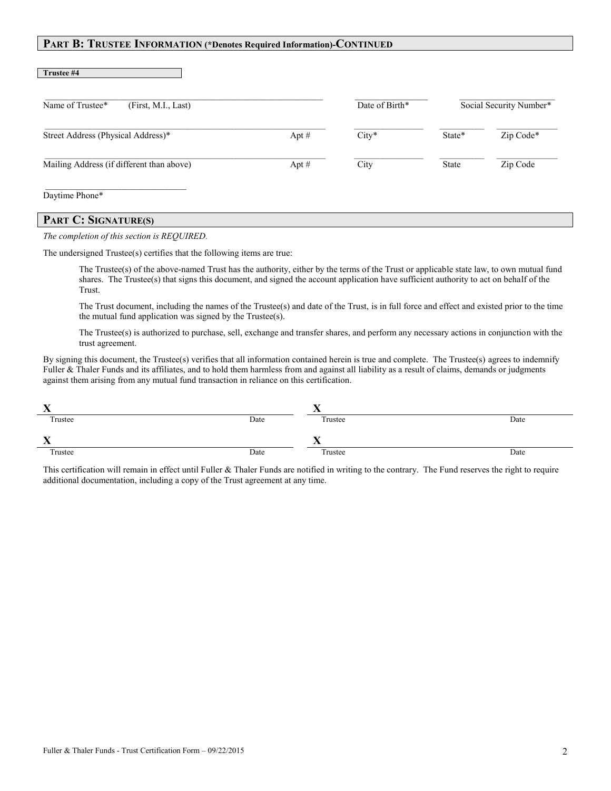### **PART B: TRUSTEE INFORMATION (\*Denotes Required Information)-CONTINUED**

| Name of Trustee*<br>(First, M.I., Last)   |         | Date of Birth* |              | Social Security Number* |
|-------------------------------------------|---------|----------------|--------------|-------------------------|
| Street Address (Physical Address)*        | Apt $#$ | $City*$        | State*       | Zip Code*               |
| Mailing Address (if different than above) | Apt $#$ | City           | <b>State</b> | Zip Code                |

## **PART C: SIGNATURE(S)**

#### *The completion of this section is REQUIRED.*

The undersigned Trustee(s) certifies that the following items are true:

The Trustee(s) of the above-named Trust has the authority, either by the terms of the Trust or applicable state law, to own mutual fund shares. The Trustee(s) that signs this document, and signed the account application have sufficient authority to act on behalf of the Trust.

The Trust document, including the names of the Trustee(s) and date of the Trust, is in full force and effect and existed prior to the time the mutual fund application was signed by the Trustee(s).

The Trustee(s) is authorized to purchase, sell, exchange and transfer shares, and perform any necessary actions in conjunction with the trust agreement.

By signing this document, the Trustee(s) verifies that all information contained herein is true and complete. The Trustee(s) agrees to indemnify Fuller & Thaler Funds and its affiliates, and to hold them harmless from and against all liability as a result of claims, demands or judgments against them arising from any mutual fund transaction in reliance on this certification.

| $\mathbf{v}$ |      |         |      |
|--------------|------|---------|------|
| Trustee      | Date | Trustee | Date |
| -43          |      |         |      |
| Trustee      | Date | Trustee | Date |

This certification will remain in effect until Fuller & Thaler Funds are notified in writing to the contrary. The Fund reserves the right to require additional documentation, including a copy of the Trust agreement at any time.